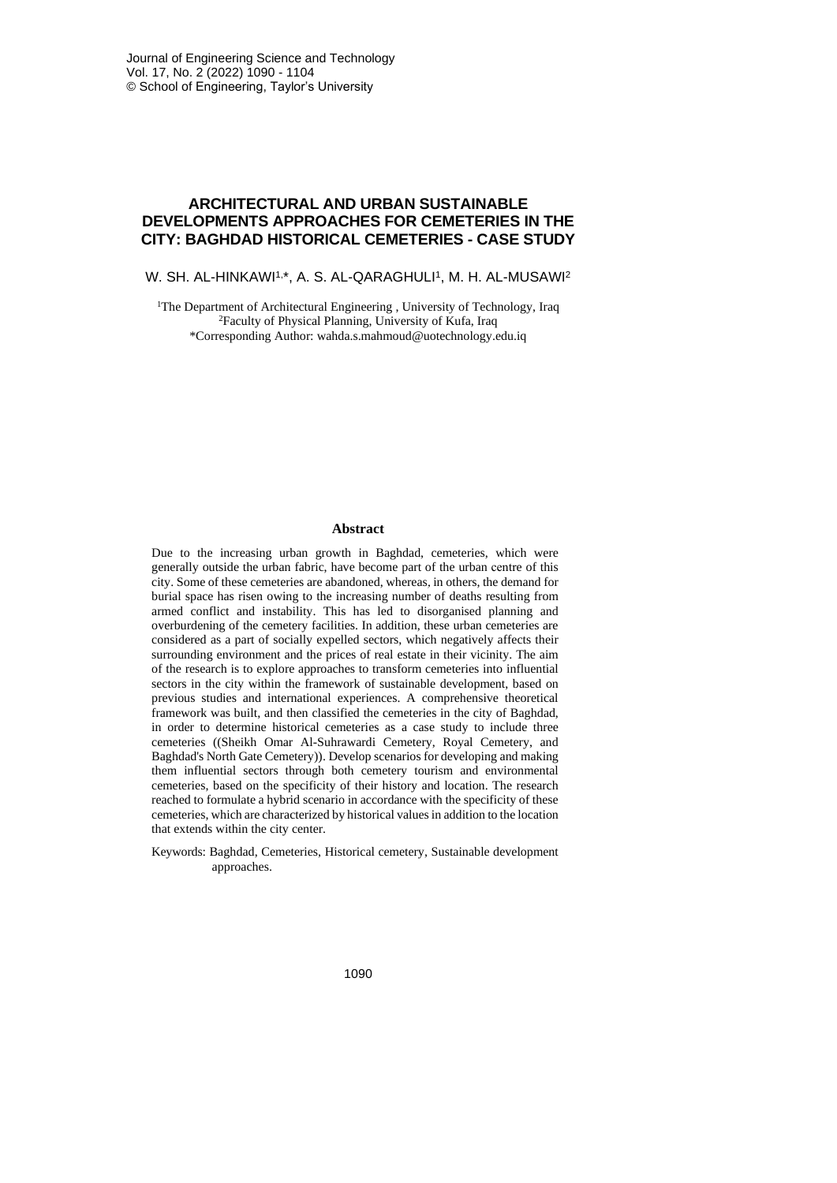# **ARCHITECTURAL AND URBAN SUSTAINABLE DEVELOPMENTS APPROACHES FOR CEMETERIES IN THE CITY: BAGHDAD HISTORICAL CEMETERIES - CASE STUDY**

W. SH. AL-HINKAWI1,\*, A. S. AL-QARAGHULI1, M. H. AL-MUSAWI<sup>2</sup>

<sup>1</sup>The Department of Architectural Engineering, University of Technology, Iraq <sup>2</sup>Faculty of Physical Planning, University of Kufa, Iraq \*Corresponding Author: wahda.s.mahmoud@uotechnology.edu.iq

# **Abstract**

Due to the increasing urban growth in Baghdad, cemeteries, which were generally outside the urban fabric, have become part of the urban centre of this city. Some of these cemeteries are abandoned, whereas, in others, the demand for burial space has risen owing to the increasing number of deaths resulting from armed conflict and instability. This has led to disorganised planning and overburdening of the cemetery facilities. In addition, these urban cemeteries are considered as a part of socially expelled sectors, which negatively affects their surrounding environment and the prices of real estate in their vicinity. The aim of the research is to explore approaches to transform cemeteries into influential sectors in the city within the framework of sustainable development, based on previous studies and international experiences. A comprehensive theoretical framework was built, and then classified the cemeteries in the city of Baghdad, in order to determine historical cemeteries as a case study to include three cemeteries ((Sheikh Omar Al-Suhrawardi Cemetery, Royal Cemetery, and Baghdad's North Gate Cemetery)). Develop scenarios for developing and making them influential sectors through both cemetery tourism and environmental cemeteries, based on the specificity of their history and location. The research reached to formulate a hybrid scenario in accordance with the specificity of these cemeteries, which are characterized by historical valuesin addition to the location that extends within the city center.

Keywords: Baghdad, Cemeteries, Historical cemetery, Sustainable development approaches.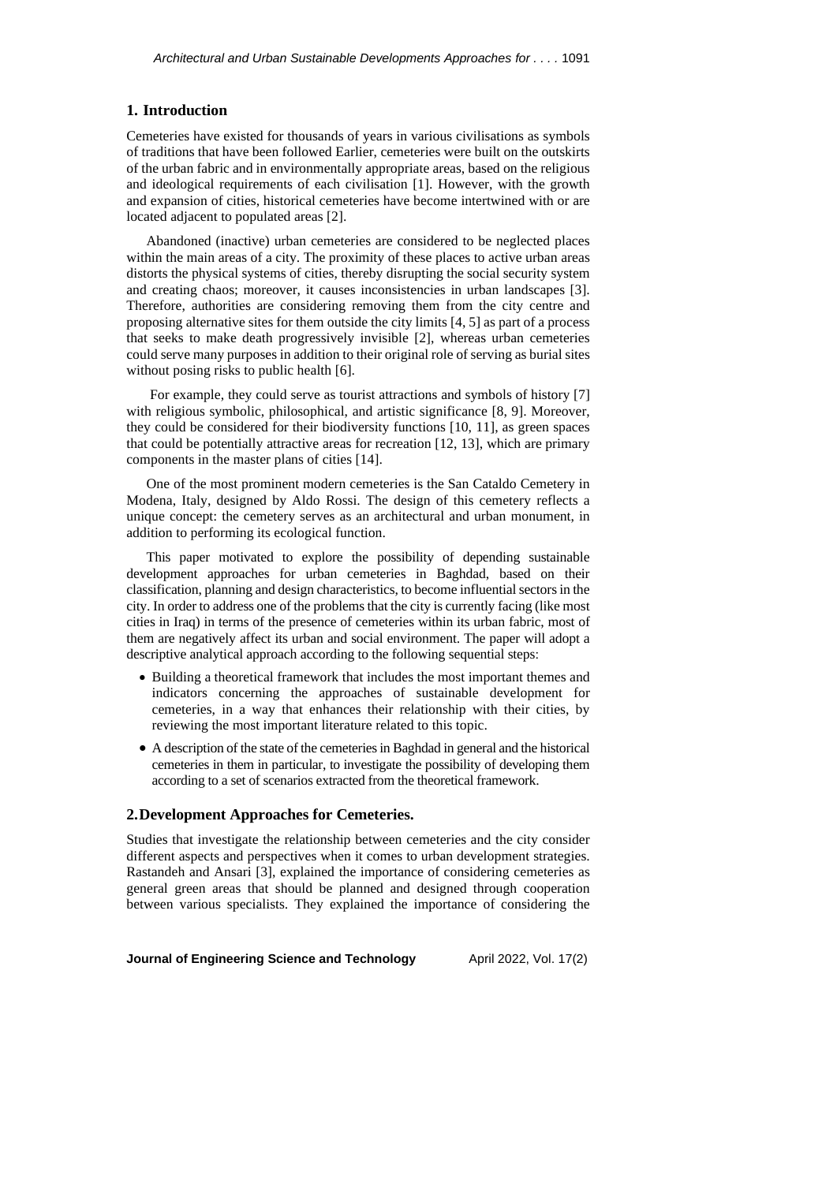# **1. Introduction**

Cemeteries have existed for thousands of years in various civilisations as symbols of traditions that have been followed Earlier, cemeteries were built on the outskirts of the urban fabric and in environmentally appropriate areas, based on the religious and ideological requirements of each civilisation [1]. However, with the growth and expansion of cities, historical cemeteries have become intertwined with or are located adjacent to populated areas [2].

Abandoned (inactive) urban cemeteries are considered to be neglected places within the main areas of a city. The proximity of these places to active urban areas distorts the physical systems of cities, thereby disrupting the social security system and creating chaos; moreover, it causes inconsistencies in urban landscapes [3]. Therefore, authorities are considering removing them from the city centre and proposing alternative sites for them outside the city limits [4, 5] as part of a process that seeks to make death progressively invisible [2], whereas urban cemeteries could serve many purposes in addition to their original role of serving as burial sites without posing risks to public health [6].

For example, they could serve as tourist attractions and symbols of history [7] with religious symbolic, philosophical, and artistic significance [8, 9]. Moreover, they could be considered for their biodiversity functions [10, 11], as green spaces that could be potentially attractive areas for recreation [12, 13], which are primary components in the master plans of cities [14].

One of the most prominent modern cemeteries is the San Cataldo Cemetery in Modena, Italy, designed by Aldo Rossi. The design of this cemetery reflects a unique concept: the cemetery serves as an architectural and urban monument, in addition to performing its ecological function.

This paper motivated to explore the possibility of depending sustainable development approaches for urban cemeteries in Baghdad, based on their classification, planning and design characteristics, to become influential sectors in the city. In order to address one of the problems that the city is currently facing (like most cities in Iraq) in terms of the presence of cemeteries within its urban fabric, most of them are negatively affect its urban and social environment. The paper will adopt a descriptive analytical approach according to the following sequential steps:

- Building a theoretical framework that includes the most important themes and indicators concerning the approaches of sustainable development for cemeteries, in a way that enhances their relationship with their cities, by reviewing the most important literature related to this topic.
- A description of the state of the cemeteries in Baghdad in general and the historical cemeteries in them in particular, to investigate the possibility of developing them according to a set of scenarios extracted from the theoretical framework.

# **2.Development Approaches for Cemeteries.**

Studies that investigate the relationship between cemeteries and the city consider different aspects and perspectives when it comes to urban development strategies. Rastandeh and Ansari [3], explained the importance of considering cemeteries as general green areas that should be planned and designed through cooperation between various specialists. They explained the importance of considering the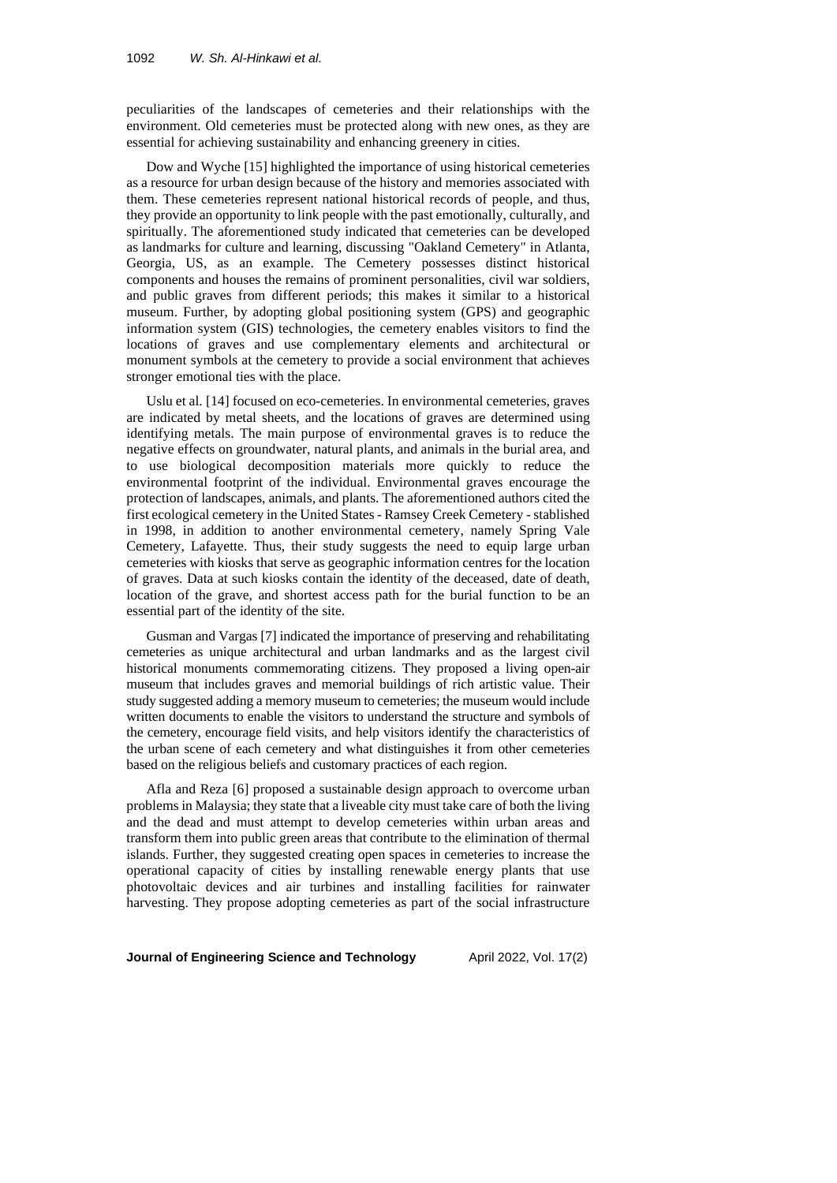peculiarities of the landscapes of cemeteries and their relationships with the environment. Old cemeteries must be protected along with new ones, as they are essential for achieving sustainability and enhancing greenery in cities.

Dow and Wyche [15] highlighted the importance of using historical cemeteries as a resource for urban design because of the history and memories associated with them. These cemeteries represent national historical records of people, and thus, they provide an opportunity to link people with the past emotionally, culturally, and spiritually. The aforementioned study indicated that cemeteries can be developed as landmarks for culture and learning, discussing "Oakland Cemetery" in Atlanta, Georgia, US, as an example. The Cemetery possesses distinct historical components and houses the remains of prominent personalities, civil war soldiers, and public graves from different periods; this makes it similar to a historical museum. Further, by adopting global positioning system (GPS) and geographic information system (GIS) technologies, the cemetery enables visitors to find the locations of graves and use complementary elements and architectural or monument symbols at the cemetery to provide a social environment that achieves stronger emotional ties with the place.

Uslu et al. [14] focused on eco-cemeteries. In environmental cemeteries, graves are indicated by metal sheets, and the locations of graves are determined using identifying metals. The main purpose of environmental graves is to reduce the negative effects on groundwater, natural plants, and animals in the burial area, and to use biological decomposition materials more quickly to reduce the environmental footprint of the individual. Environmental graves encourage the protection of landscapes, animals, and plants. The aforementioned authors cited the first ecological cemetery in the United States- Ramsey Creek Cemetery - stablished in 1998, in addition to another environmental cemetery, namely Spring Vale Cemetery, Lafayette. Thus, their study suggests the need to equip large urban cemeteries with kiosks that serve as geographic information centres for the location of graves. Data at such kiosks contain the identity of the deceased, date of death, location of the grave, and shortest access path for the burial function to be an essential part of the identity of the site.

Gusman and Vargas [7] indicated the importance of preserving and rehabilitating cemeteries as unique architectural and urban landmarks and as the largest civil historical monuments commemorating citizens. They proposed a living open-air museum that includes graves and memorial buildings of rich artistic value. Their study suggested adding a memory museum to cemeteries; the museum would include written documents to enable the visitors to understand the structure and symbols of the cemetery, encourage field visits, and help visitors identify the characteristics of the urban scene of each cemetery and what distinguishes it from other cemeteries based on the religious beliefs and customary practices of each region.

Afla and Reza [6] proposed a sustainable design approach to overcome urban problemsin Malaysia; they state that a liveable city must take care of both the living and the dead and must attempt to develop cemeteries within urban areas and transform them into public green areas that contribute to the elimination of thermal islands. Further, they suggested creating open spaces in cemeteries to increase the operational capacity of cities by installing renewable energy plants that use photovoltaic devices and air turbines and installing facilities for rainwater harvesting. They propose adopting cemeteries as part of the social infrastructure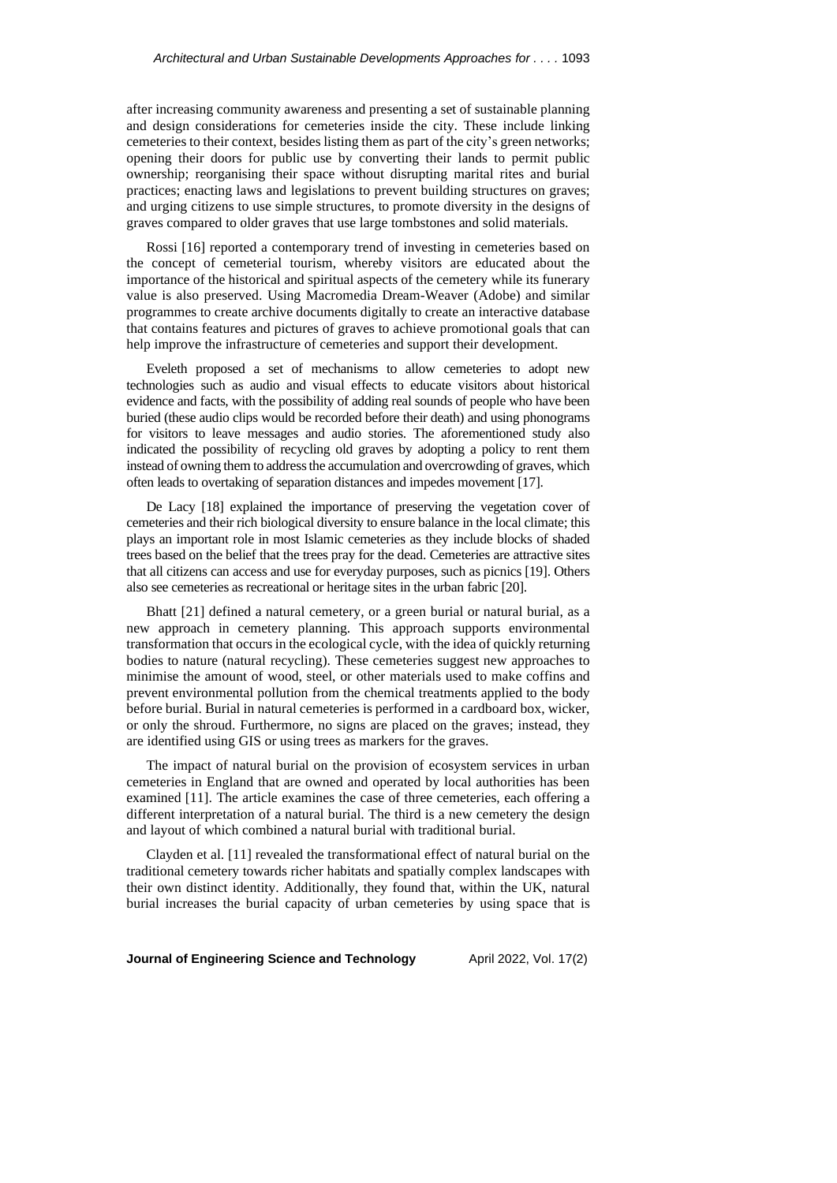after increasing community awareness and presenting a set of sustainable planning and design considerations for cemeteries inside the city. These include linking cemeteries to their context, besides listing them as part of the city's green networks; opening their doors for public use by converting their lands to permit public ownership; reorganising their space without disrupting marital rites and burial practices; enacting laws and legislations to prevent building structures on graves; and urging citizens to use simple structures, to promote diversity in the designs of graves compared to older graves that use large tombstones and solid materials.

Rossi [16] reported a contemporary trend of investing in cemeteries based on the concept of cemeterial tourism, whereby visitors are educated about the importance of the historical and spiritual aspects of the cemetery while its funerary value is also preserved. Using Macromedia Dream-Weaver (Adobe) and similar programmes to create archive documents digitally to create an interactive database that contains features and pictures of graves to achieve promotional goals that can help improve the infrastructure of cemeteries and support their development.

Eveleth proposed a set of mechanisms to allow cemeteries to adopt new technologies such as audio and visual effects to educate visitors about historical evidence and facts, with the possibility of adding real sounds of people who have been buried (these audio clips would be recorded before their death) and using phonograms for visitors to leave messages and audio stories. The aforementioned study also indicated the possibility of recycling old graves by adopting a policy to rent them instead of owning them to address the accumulation and overcrowding of graves, which often leads to overtaking of separation distances and impedes movement [17].

De Lacy [18] explained the importance of preserving the vegetation cover of cemeteries and their rich biological diversity to ensure balance in the local climate; this plays an important role in most Islamic cemeteries as they include blocks of shaded trees based on the belief that the trees pray for the dead. Cemeteries are attractive sites that all citizens can access and use for everyday purposes, such as picnics [19]. Others also see cemeteries as recreational or heritage sites in the urban fabric [20].

Bhatt [21] defined a natural cemetery, or a green burial or natural burial, as a new approach in cemetery planning. This approach supports environmental transformation that occurs in the ecological cycle, with the idea of quickly returning bodies to nature (natural recycling). These cemeteries suggest new approaches to minimise the amount of wood, steel, or other materials used to make coffins and prevent environmental pollution from the chemical treatments applied to the body before burial. Burial in natural cemeteries is performed in a cardboard box, wicker, or only the shroud. Furthermore, no signs are placed on the graves; instead, they are identified using GIS or using trees as markers for the graves.

The impact of natural burial on the provision of ecosystem services in urban cemeteries in England that are owned and operated by local authorities has been examined [11]. The article examines the case of three cemeteries, each offering a different interpretation of a natural burial. The third is a new cemetery the design and layout of which combined a natural burial with traditional burial.

Clayden et al. [11] revealed the transformational effect of natural burial on the traditional cemetery towards richer habitats and spatially complex landscapes with their own distinct identity. Additionally, they found that, within the UK, natural burial increases the burial capacity of urban cemeteries by using space that is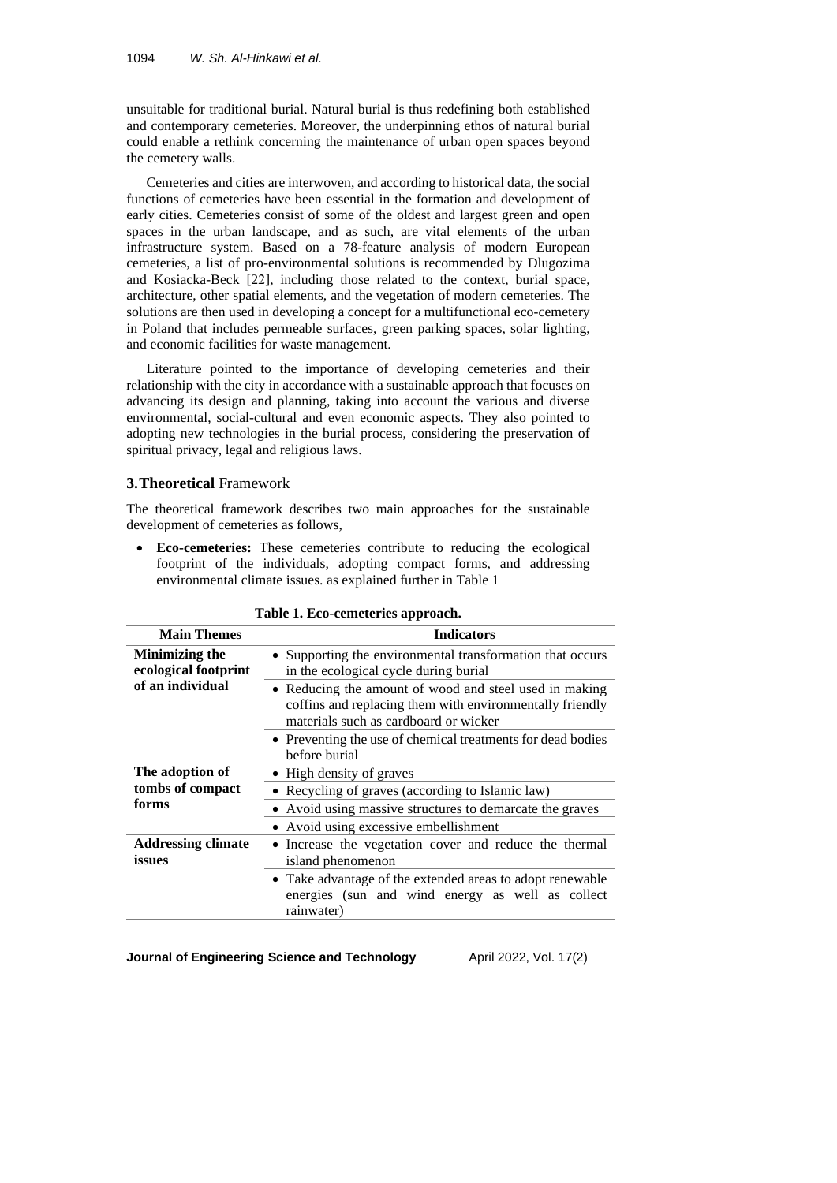unsuitable for traditional burial. Natural burial is thus redefining both established and contemporary cemeteries. Moreover, the underpinning ethos of natural burial could enable a rethink concerning the maintenance of urban open spaces beyond the cemetery walls.

Cemeteries and cities are interwoven, and according to historical data, the social functions of cemeteries have been essential in the formation and development of early cities. Cemeteries consist of some of the oldest and largest green and open spaces in the urban landscape, and as such, are vital elements of the urban infrastructure system. Based on a 78-feature analysis of modern European cemeteries, a list of pro-environmental solutions is recommended by Dlugozima and Kosiacka-Beck [22], including those related to the context, burial space, architecture, other spatial elements, and the vegetation of modern cemeteries. The solutions are then used in developing a concept for a multifunctional eco-cemetery in Poland that includes permeable surfaces, green parking spaces, solar lighting, and economic facilities for waste management.

Literature pointed to the importance of developing cemeteries and their relationship with the city in accordance with a sustainable approach that focuses on advancing its design and planning, taking into account the various and diverse environmental, social-cultural and even economic aspects. They also pointed to adopting new technologies in the burial process, considering the preservation of spiritual privacy, legal and religious laws.

# **3.Theoretical** Framework

The theoretical framework describes two main approaches for the sustainable development of cemeteries as follows,

• **Eco-cemeteries:** These cemeteries contribute to reducing the ecological footprint of the individuals, adopting compact forms, and addressing environmental climate issues. as explained further in Table 1

| <b>Main Themes</b>                     | <b>Indicators</b>                                                                                                                                           |  |  |
|----------------------------------------|-------------------------------------------------------------------------------------------------------------------------------------------------------------|--|--|
| Minimizing the<br>ecological footprint | • Supporting the environmental transformation that occurs<br>in the ecological cycle during burial                                                          |  |  |
| of an individual                       | • Reducing the amount of wood and steel used in making<br>coffins and replacing them with environmentally friendly<br>materials such as cardboard or wicker |  |  |
|                                        | • Preventing the use of chemical treatments for dead bodies<br>before burial                                                                                |  |  |
| The adoption of                        | • High density of graves                                                                                                                                    |  |  |
| tombs of compact                       | • Recycling of graves (according to Islamic law)                                                                                                            |  |  |
| forms                                  | • Avoid using massive structures to demarcate the graves                                                                                                    |  |  |
|                                        | • Avoid using excessive embellishment                                                                                                                       |  |  |
| <b>Addressing climate</b><br>issues    | • Increase the vegetation cover and reduce the thermal<br>island phenomenon                                                                                 |  |  |
|                                        | • Take advantage of the extended areas to adopt renewable<br>energies (sun and wind energy as well as collect<br>rainwater)                                 |  |  |

**Table 1. Eco-cemeteries approach.**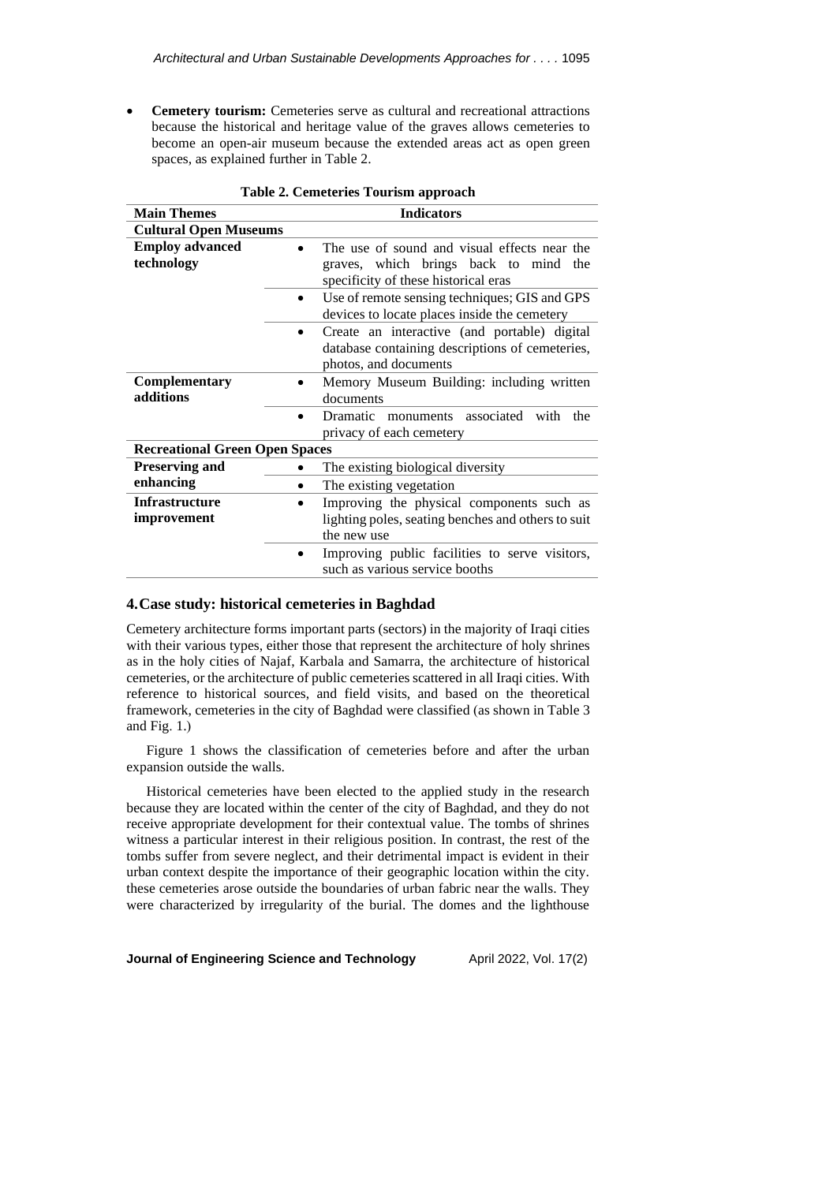• **Cemetery tourism:** Cemeteries serve as cultural and recreational attractions because the historical and heritage value of the graves allows cemeteries to become an open-air museum because the extended areas act as open green spaces, as explained further in Table 2.

| <b>Main Themes</b>                    | <b>Indicators</b>                                                                                                             |  |  |  |  |
|---------------------------------------|-------------------------------------------------------------------------------------------------------------------------------|--|--|--|--|
| <b>Cultural Open Museums</b>          |                                                                                                                               |  |  |  |  |
| <b>Employ advanced</b><br>technology  | The use of sound and visual effects near the<br>graves, which brings back to mind the<br>specificity of these historical eras |  |  |  |  |
|                                       | Use of remote sensing techniques; GIS and GPS<br>devices to locate places inside the cemetery                                 |  |  |  |  |
|                                       | Create an interactive (and portable) digital<br>database containing descriptions of cemeteries,<br>photos, and documents      |  |  |  |  |
| Complementary<br>additions            | Memory Museum Building: including written<br>documents                                                                        |  |  |  |  |
|                                       | Dramatic monuments associated with<br>the<br>privacy of each cemetery                                                         |  |  |  |  |
| <b>Recreational Green Open Spaces</b> |                                                                                                                               |  |  |  |  |
| <b>Preserving and</b>                 | The existing biological diversity                                                                                             |  |  |  |  |
| enhancing                             | The existing vegetation                                                                                                       |  |  |  |  |
| <b>Infrastructure</b>                 | Improving the physical components such as                                                                                     |  |  |  |  |
| improvement                           | lighting poles, seating benches and others to suit                                                                            |  |  |  |  |
|                                       | the new use                                                                                                                   |  |  |  |  |
|                                       | Improving public facilities to serve visitors,<br>such as various service booths                                              |  |  |  |  |

| Table 2. Cemeteries Tourism approach |  |  |
|--------------------------------------|--|--|
|--------------------------------------|--|--|

# **4.Case study: historical cemeteries in Baghdad**

Cemetery architecture forms important parts (sectors) in the majority of Iraqi cities with their various types, either those that represent the architecture of holy shrines as in the holy cities of Najaf, Karbala and Samarra, the architecture of historical cemeteries, or the architecture of public cemeteries scattered in all Iraqi cities. With reference to historical sources, and field visits, and based on the theoretical framework, cemeteries in the city of Baghdad were classified (as shown in Table 3 and Fig.  $1$ .)

Figure 1 shows the classification of cemeteries before and after the urban expansion outside the walls.

Historical cemeteries have been elected to the applied study in the research because they are located within the center of the city of Baghdad, and they do not receive appropriate development for their contextual value. The tombs of shrines witness a particular interest in their religious position. In contrast, the rest of the tombs suffer from severe neglect, and their detrimental impact is evident in their urban context despite the importance of their geographic location within the city. these cemeteries arose outside the boundaries of urban fabric near the walls. They were characterized by irregularity of the burial. The domes and the lighthouse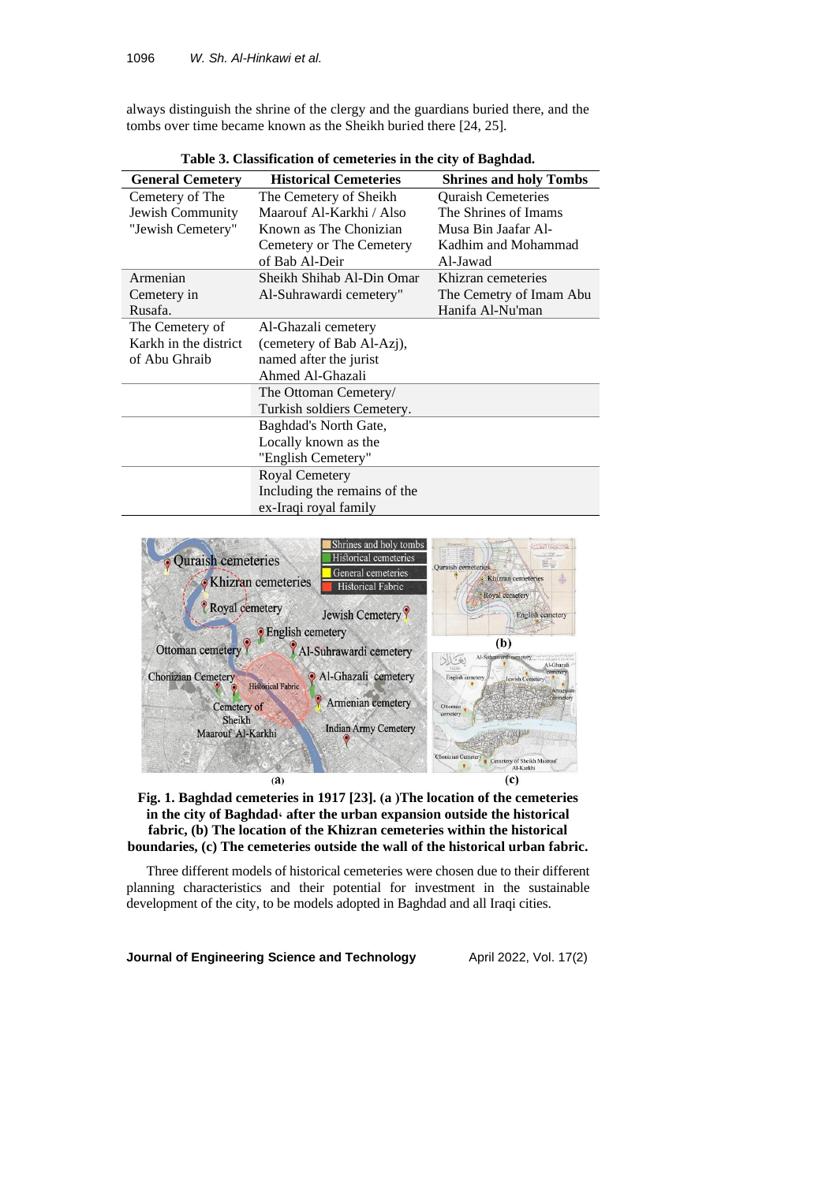always distinguish the shrine of the clergy and the guardians buried there, and the tombs over time became known as the Sheikh buried there [24, 25].

| <b>General Cemetery</b> | <b>Historical Cemeteries</b> | <b>Shrines and holy Tombs</b> |  |  |  |  |
|-------------------------|------------------------------|-------------------------------|--|--|--|--|
| Cemetery of The         | The Cemetery of Sheikh       | <b>Quraish Cemeteries</b>     |  |  |  |  |
| Jewish Community        | Maarouf Al-Karkhi / Also     | The Shrines of Imams          |  |  |  |  |
| "Jewish Cemetery"       | Known as The Chonizian       | Musa Bin Jaafar Al-           |  |  |  |  |
|                         | Cemetery or The Cemetery     | Kadhim and Mohammad           |  |  |  |  |
|                         | of Bab Al-Deir               | Al-Jawad                      |  |  |  |  |
| Armenian                | Sheikh Shihab Al-Din Omar    | Khizran cemeteries            |  |  |  |  |
| Cemetery in             | Al-Suhrawardi cemetery"      | The Cemetry of Imam Abu       |  |  |  |  |
| Rusafa.                 |                              | Hanifa Al-Nu'man              |  |  |  |  |
| The Cemetery of         | Al-Ghazali cemetery          |                               |  |  |  |  |
| Karkh in the district   | (cemetery of Bab Al-Azj),    |                               |  |  |  |  |
| of Abu Ghraib           | named after the jurist       |                               |  |  |  |  |
|                         | Ahmed Al-Ghazali             |                               |  |  |  |  |
|                         | The Ottoman Cemetery/        |                               |  |  |  |  |
|                         | Turkish soldiers Cemetery.   |                               |  |  |  |  |
|                         | Baghdad's North Gate,        |                               |  |  |  |  |
|                         | Locally known as the         |                               |  |  |  |  |
|                         | "English Cemetery"           |                               |  |  |  |  |
|                         | <b>Royal Cemetery</b>        |                               |  |  |  |  |
|                         | Including the remains of the |                               |  |  |  |  |
|                         | ex-Iraqi royal family        |                               |  |  |  |  |

**Table 3. Classification of cemeteries in the city of Baghdad.**





Three different models of historical cemeteries were chosen due to their different planning characteristics and their potential for investment in the sustainable development of the city, to be models adopted in Baghdad and all Iraqi cities.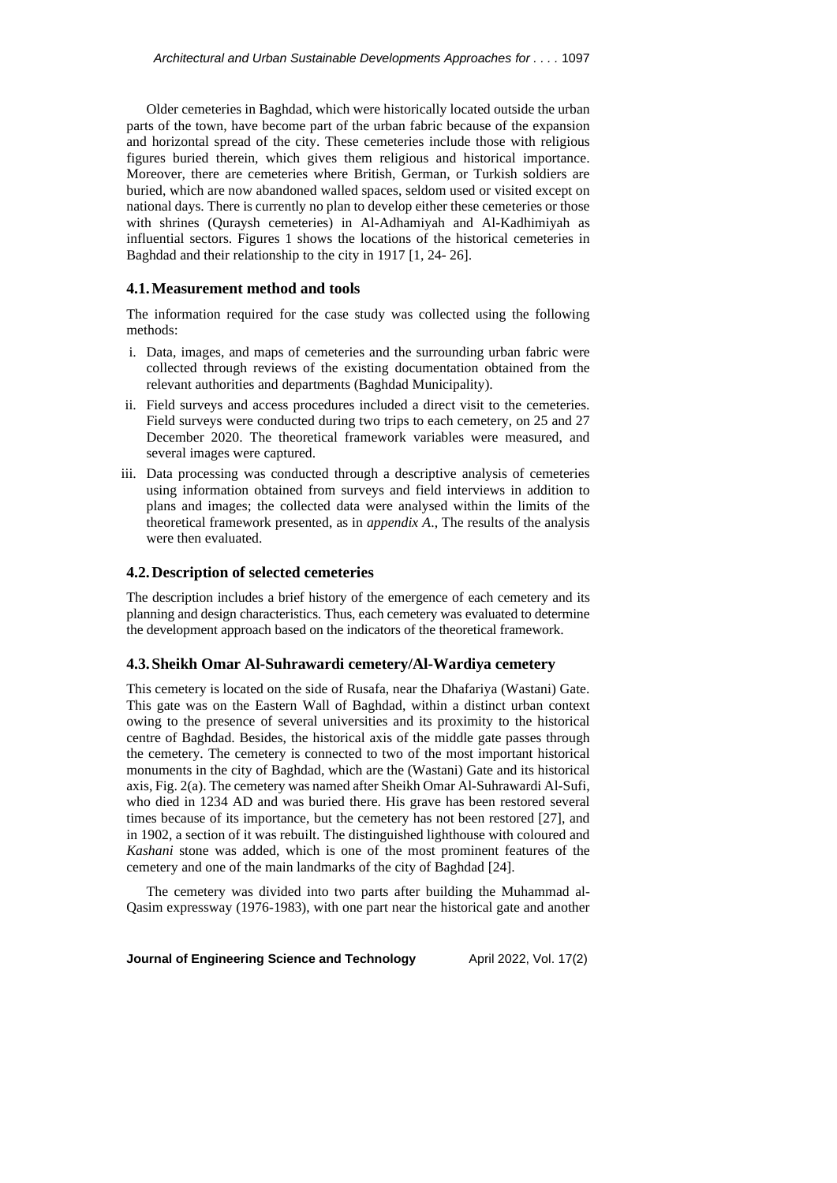Older cemeteries in Baghdad, which were historically located outside the urban parts of the town, have become part of the urban fabric because of the expansion and horizontal spread of the city. These cemeteries include those with religious figures buried therein, which gives them religious and historical importance. Moreover, there are cemeteries where British, German, or Turkish soldiers are buried, which are now abandoned walled spaces, seldom used or visited except on national days. There is currently no plan to develop either these cemeteries or those with shrines (Quraysh cemeteries) in Al-Adhamiyah and Al-Kadhimiyah as influential sectors. Figures 1 shows the locations of the historical cemeteries in Baghdad and their relationship to the city in 1917 [1, 24- 26].

# **4.1.Measurement method and tools**

The information required for the case study was collected using the following methods:

- i. Data, images, and maps of cemeteries and the surrounding urban fabric were collected through reviews of the existing documentation obtained from the relevant authorities and departments (Baghdad Municipality).
- ii. Field surveys and access procedures included a direct visit to the cemeteries. Field surveys were conducted during two trips to each cemetery, on 25 and 27 December 2020. The theoretical framework variables were measured, and several images were captured.
- iii. Data processing was conducted through a descriptive analysis of cemeteries using information obtained from surveys and field interviews in addition to plans and images; the collected data were analysed within the limits of the theoretical framework presented, as in *appendix A*., The results of the analysis were then evaluated.

### **4.2.Description of selected cemeteries**

The description includes a brief history of the emergence of each cemetery and its planning and design characteristics. Thus, each cemetery was evaluated to determine the development approach based on the indicators of the theoretical framework.

### **4.3.Sheikh Omar Al-Suhrawardi cemetery/Al-Wardiya cemetery**

This cemetery is located on the side of Rusafa, near the Dhafariya (Wastani) Gate. This gate was on the Eastern Wall of Baghdad, within a distinct urban context owing to the presence of several universities and its proximity to the historical centre of Baghdad. Besides, the historical axis of the middle gate passes through the cemetery. The cemetery is connected to two of the most important historical monuments in the city of Baghdad, which are the (Wastani) Gate and its historical axis, Fig. 2(a). The cemetery was named after Sheikh Omar Al-Suhrawardi Al-Sufi, who died in 1234 AD and was buried there. His grave has been restored several times because of its importance, but the cemetery has not been restored [27], and in 1902, a section of it was rebuilt. The distinguished lighthouse with coloured and *Kashani* stone was added, which is one of the most prominent features of the cemetery and one of the main landmarks of the city of Baghdad [24].

The cemetery was divided into two parts after building the Muhammad al-Qasim expressway (1976-1983), with one part near the historical gate and another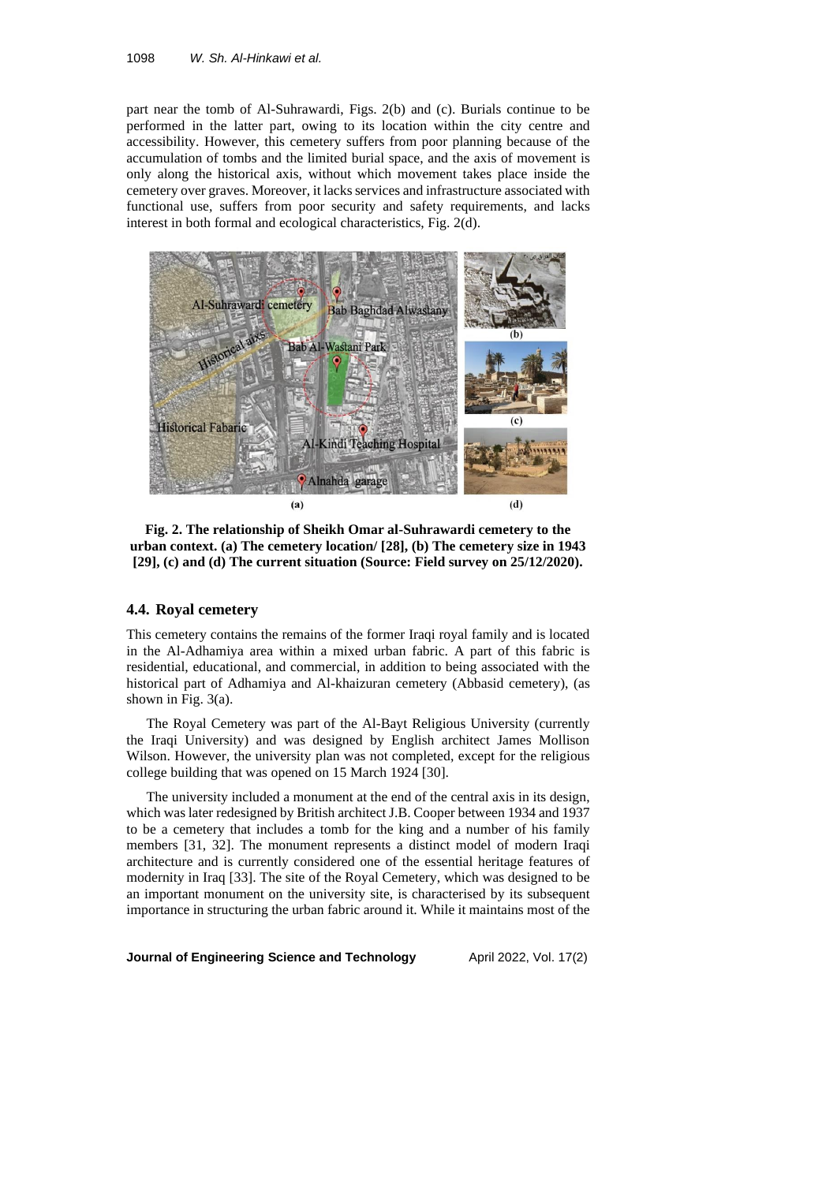part near the tomb of Al-Suhrawardi, Figs. 2(b) and (c). Burials continue to be performed in the latter part, owing to its location within the city centre and accessibility. However, this cemetery suffers from poor planning because of the accumulation of tombs and the limited burial space, and the axis of movement is only along the historical axis, without which movement takes place inside the cemetery over graves. Moreover, it lacks services and infrastructure associated with functional use, suffers from poor security and safety requirements, and lacks interest in both formal and ecological characteristics, Fig. 2(d).



**Fig. 2. The relationship of Sheikh Omar al-Suhrawardi cemetery to the urban context. (a) The cemetery location/ [28], (b) The cemetery size in 1943 [29], (c) and (d) The current situation (Source: Field survey on 25/12/2020).**

# **4.4. Royal cemetery**

This cemetery contains the remains of the former Iraqi royal family and is located in the Al-Adhamiya area within a mixed urban fabric. A part of this fabric is residential, educational, and commercial, in addition to being associated with the historical part of Adhamiya and Al-khaizuran cemetery (Abbasid cemetery), (as shown in Fig. 3(a).

The Royal Cemetery was part of the Al-Bayt Religious University (currently the Iraqi University) and was designed by English architect James Mollison Wilson. However, the university plan was not completed, except for the religious college building that was opened on 15 March 1924 [30].

The university included a monument at the end of the central axis in its design, which was later redesigned by British architect J.B. Cooper between 1934 and 1937 to be a cemetery that includes a tomb for the king and a number of his family members [31, 32]. The monument represents a distinct model of modern Iraqi architecture and is currently considered one of the essential heritage features of modernity in Iraq [33]. The site of the Royal Cemetery, which was designed to be an important monument on the university site, is characterised by its subsequent importance in structuring the urban fabric around it. While it maintains most of the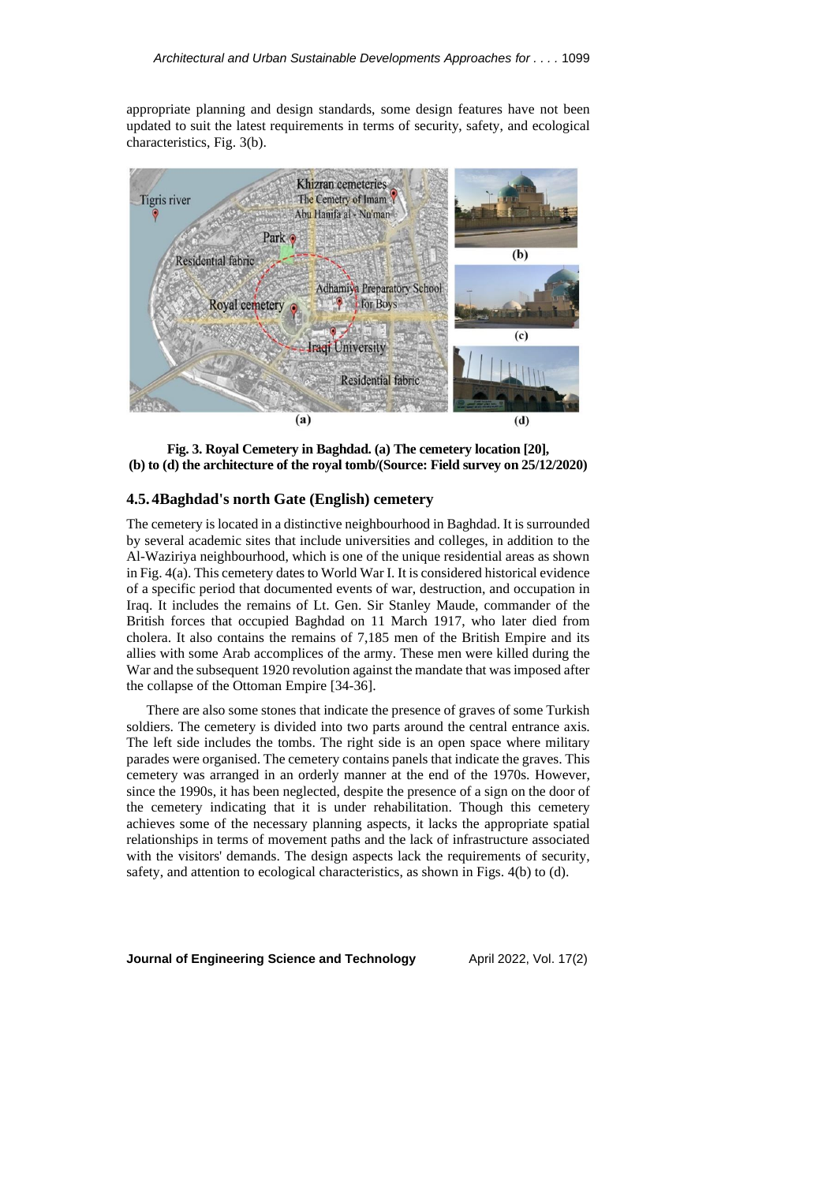appropriate planning and design standards, some design features have not been updated to suit the latest requirements in terms of security, safety, and ecological characteristics, Fig. 3(b).



**Fig. 3. Royal Cemetery in Baghdad. (a) The cemetery location [20], (b) to (d) the architecture of the royal tomb/(Source: Field survey on 25/12/2020)**

# **4.5. 4Baghdad's north Gate (English) cemetery**

The cemetery is located in a distinctive neighbourhood in Baghdad. It is surrounded by several academic sites that include universities and colleges, in addition to the Al-Waziriya neighbourhood, which is one of the unique residential areas as shown in Fig.  $4(a)$ . This cemetery dates to World War I. It is considered historical evidence of a specific period that documented events of war, destruction, and occupation in Iraq. It includes the remains of Lt. Gen. Sir Stanley Maude, commander of the British forces that occupied Baghdad on 11 March 1917, who later died from cholera. It also contains the remains of 7,185 men of the British Empire and its allies with some Arab accomplices of the army. These men were killed during the War and the subsequent 1920 revolution against the mandate that was imposed after the collapse of the Ottoman Empire [34-36].

There are also some stones that indicate the presence of graves of some Turkish soldiers. The cemetery is divided into two parts around the central entrance axis. The left side includes the tombs. The right side is an open space where military parades were organised. The cemetery contains panels that indicate the graves. This cemetery was arranged in an orderly manner at the end of the 1970s. However, since the 1990s, it has been neglected, despite the presence of a sign on the door of the cemetery indicating that it is under rehabilitation. Though this cemetery achieves some of the necessary planning aspects, it lacks the appropriate spatial relationships in terms of movement paths and the lack of infrastructure associated with the visitors' demands. The design aspects lack the requirements of security, safety, and attention to ecological characteristics, as shown in Figs. 4(b) to (d).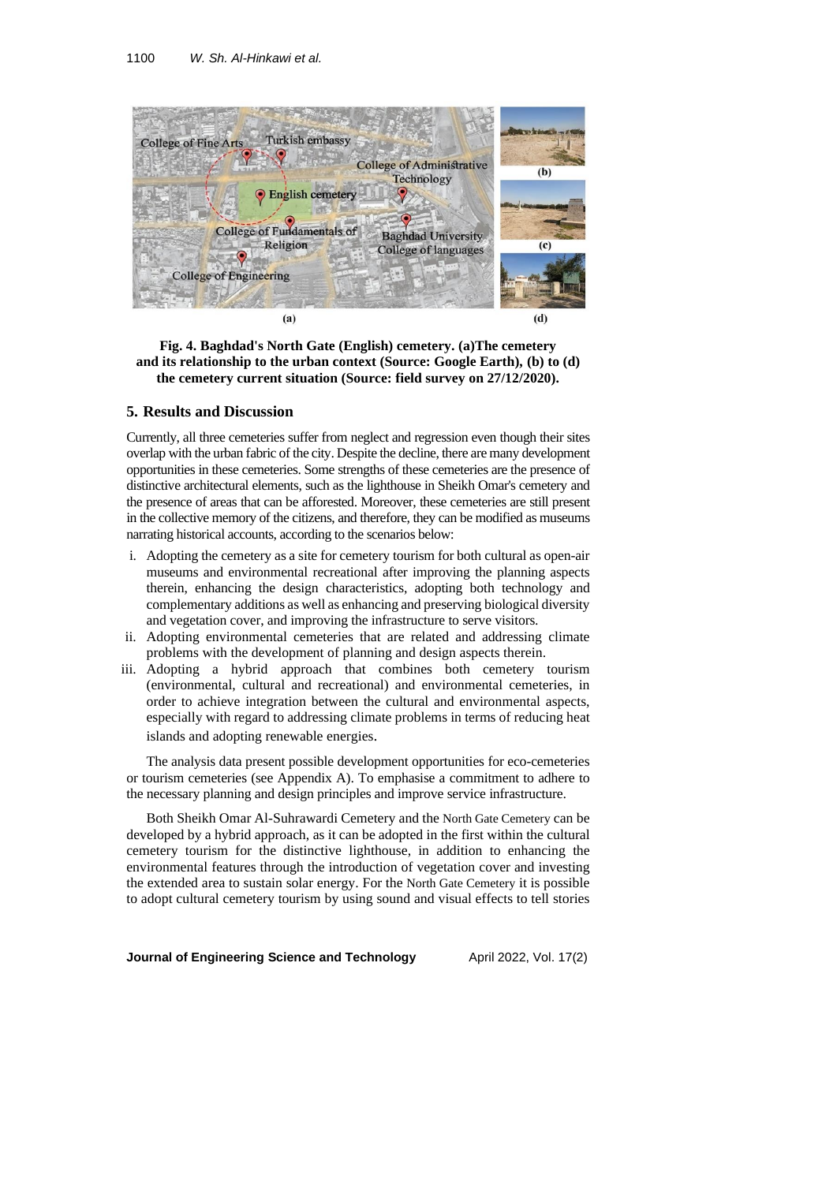

**Fig. 4. Baghdad's North Gate (English) cemetery. (a)The cemetery and its relationship to the urban context (Source: Google Earth), (b) to (d) the cemetery current situation (Source: field survey on 27/12/2020).**

#### **5. Results and Discussion**

Currently, all three cemeteries suffer from neglect and regression even though their sites overlap with the urban fabric of the city. Despite the decline, there are many development opportunities in these cemeteries. Some strengths of these cemeteries are the presence of distinctive architectural elements, such as the lighthouse in Sheikh Omar's cemetery and the presence of areas that can be afforested. Moreover, these cemeteries are still present in the collective memory of the citizens, and therefore, they can be modified as museums narrating historical accounts, according to the scenarios below:

- i. Adopting the cemetery as a site for cemetery tourism for both cultural as open-air museums and environmental recreational after improving the planning aspects therein, enhancing the design characteristics, adopting both technology and complementary additions as well as enhancing and preserving biological diversity and vegetation cover, and improving the infrastructure to serve visitors.
- ii. Adopting environmental cemeteries that are related and addressing climate problems with the development of planning and design aspects therein.
- iii. Adopting a hybrid approach that combines both cemetery tourism (environmental, cultural and recreational) and environmental cemeteries, in order to achieve integration between the cultural and environmental aspects, especially with regard to addressing climate problems in terms of reducing heat islands and adopting renewable energies .

The analysis data present possible development opportunities for eco-cemeteries or tourism cemeteries (see Appendix A). To emphasise a commitment to adhere to the necessary planning and design principles and improve service infrastructure.

Both Sheikh Omar Al-Suhrawardi Cemetery and the North Gate Cemetery can be developed by a hybrid approach, as it can be adopted in the first within the cultural cemetery tourism for the distinctive lighthouse, in addition to enhancing the environmental features through the introduction of vegetation cover and investing the extended area to sustain solar energy. For the North Gate Cemetery it is possible to adopt cultural cemetery tourism by using sound and visual effects to tell stories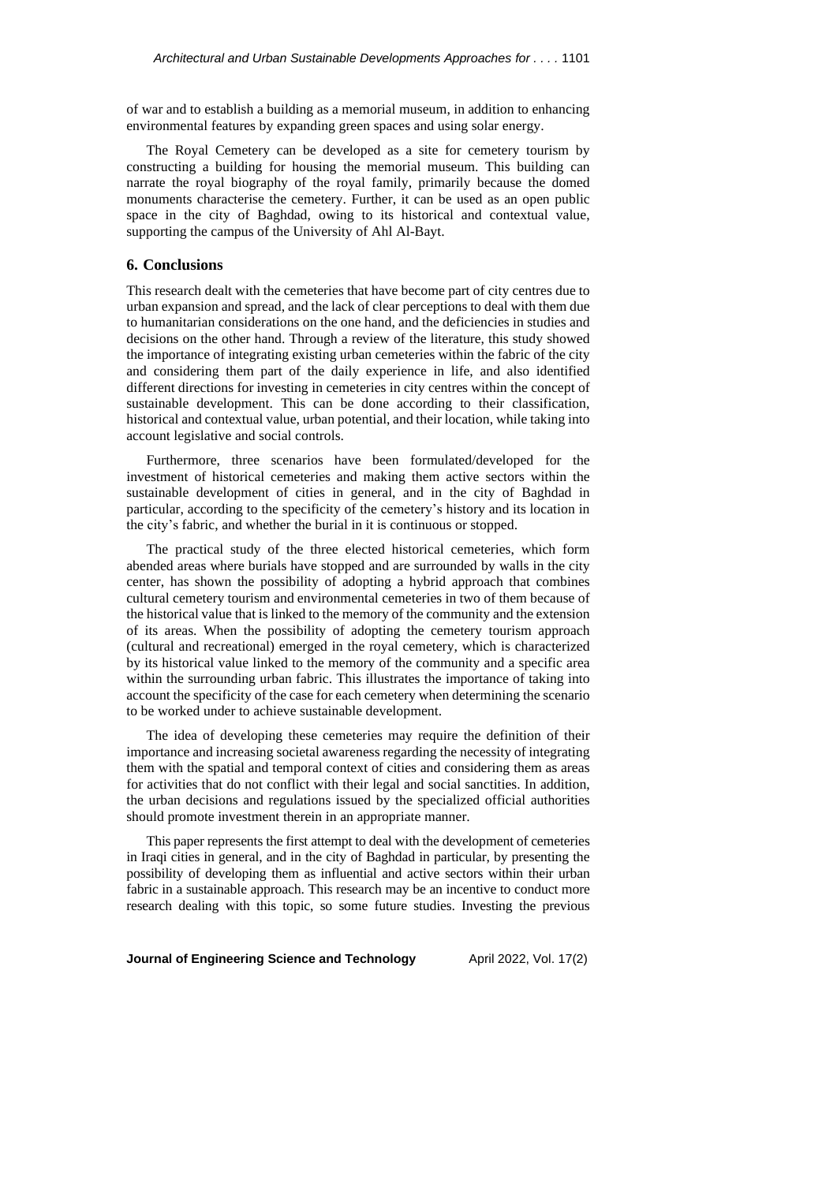of war and to establish a building as a memorial museum, in addition to enhancing environmental features by expanding green spaces and using solar energy.

The Royal Cemetery can be developed as a site for cemetery tourism by constructing a building for housing the memorial museum. This building can narrate the royal biography of the royal family, primarily because the domed monuments characterise the cemetery. Further, it can be used as an open public space in the city of Baghdad, owing to its historical and contextual value, supporting the campus of the University of Ahl Al-Bayt.

# **6. Conclusions**

This research dealt with the cemeteries that have become part of city centres due to urban expansion and spread, and the lack of clear perceptions to deal with them due to humanitarian considerations on the one hand, and the deficiencies in studies and decisions on the other hand. Through a review of the literature, this study showed the importance of integrating existing urban cemeteries within the fabric of the city and considering them part of the daily experience in life, and also identified different directions for investing in cemeteries in city centres within the concept of sustainable development. This can be done according to their classification, historical and contextual value, urban potential, and their location, while taking into account legislative and social controls.

Furthermore, three scenarios have been formulated/developed for the investment of historical cemeteries and making them active sectors within the sustainable development of cities in general, and in the city of Baghdad in particular, according to the specificity of the cemetery's history and its location in the city's fabric, and whether the burial in it is continuous or stopped.

The practical study of the three elected historical cemeteries, which form abended areas where burials have stopped and are surrounded by walls in the city center, has shown the possibility of adopting a hybrid approach that combines cultural cemetery tourism and environmental cemeteries in two of them because of the historical value that is linked to the memory of the community and the extension of its areas. When the possibility of adopting the cemetery tourism approach (cultural and recreational) emerged in the royal cemetery, which is characterized by its historical value linked to the memory of the community and a specific area within the surrounding urban fabric. This illustrates the importance of taking into account the specificity of the case for each cemetery when determining the scenario to be worked under to achieve sustainable development.

The idea of developing these cemeteries may require the definition of their importance and increasing societal awareness regarding the necessity of integrating them with the spatial and temporal context of cities and considering them as areas for activities that do not conflict with their legal and social sanctities. In addition, the urban decisions and regulations issued by the specialized official authorities should promote investment therein in an appropriate manner.

This paper represents the first attempt to deal with the development of cemeteries in Iraqi cities in general, and in the city of Baghdad in particular, by presenting the possibility of developing them as influential and active sectors within their urban fabric in a sustainable approach. This research may be an incentive to conduct more research dealing with this topic, so some future studies. Investing the previous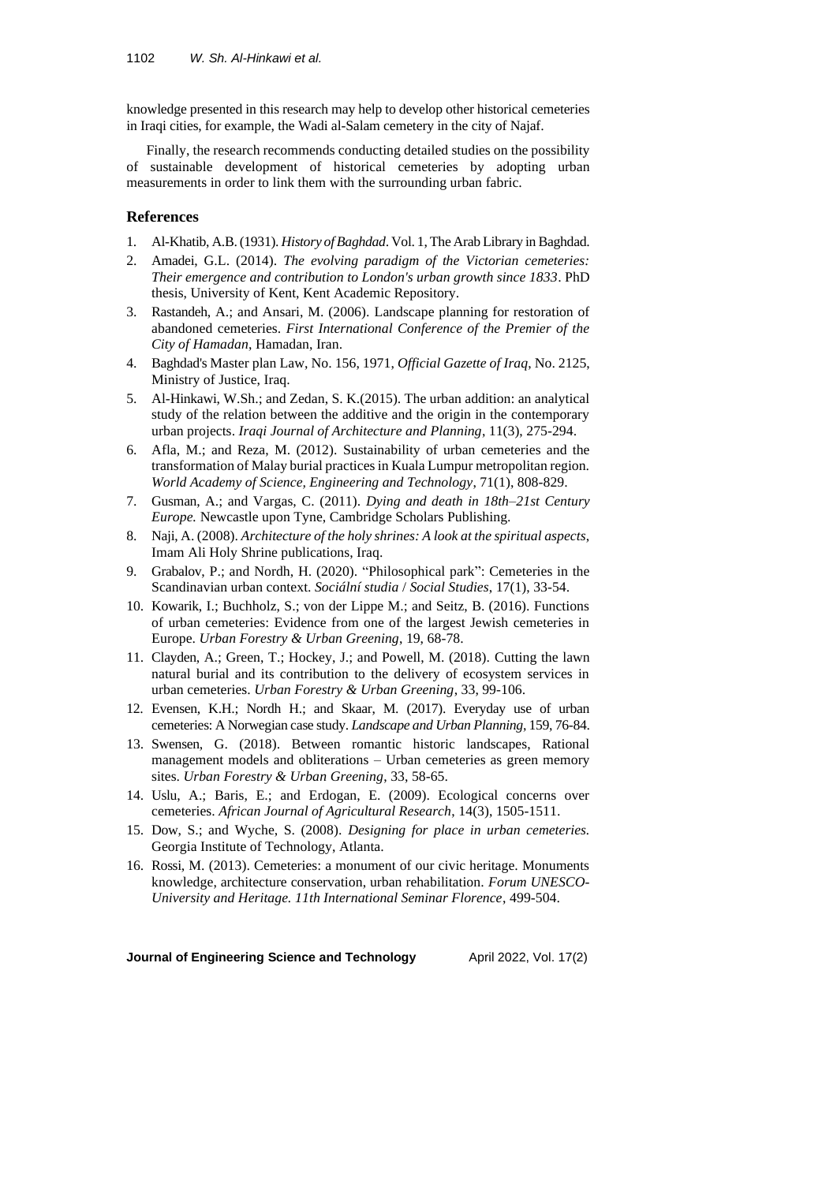knowledge presented in this research may help to develop other historical cemeteries in Iraqi cities, for example, the Wadi al-Salam cemetery in the city of Najaf.

Finally, the research recommends conducting detailed studies on the possibility of sustainable development of historical cemeteries by adopting urban measurements in order to link them with the surrounding urban fabric.

# **References**

- 1. Al-Khatib, A.B. (1931). *History of Baghdad*. Vol. 1, The Arab Library in Baghdad.
- 2. Amadei, G.L. (2014). *The evolving paradigm of the Victorian cemeteries: Their emergence and contribution to London's urban growth since 1833*. PhD thesis, University of Kent, Kent Academic Repository.
- 3. Rastandeh, A.; and Ansari, M. (2006). Landscape planning for restoration of abandoned cemeteries. *First International Conference of the Premier of the City of Hamadan*, Hamadan, Iran.
- 4. Baghdad's Master plan Law, No. 156, 1971, *Official Gazette of Iraq*, No. 2125, Ministry of Justice, Iraq.
- 5. Al-Hinkawi, W.Sh.; and Zedan, S. K.(2015). The urban addition: an analytical study of the relation between the additive and the origin in the contemporary urban projects. *Iraqi Journal of Architecture and Planning*, 11(3), 275-294.
- 6. Afla, M.; and Reza, M. (2012). Sustainability of urban cemeteries and the transformation of Malay burial practices in Kuala Lumpur metropolitan region. *World Academy of Science, Engineering and Technology*, 71(1), 808-829.
- 7. Gusman, A.; and Vargas, C. (2011). *Dying and death in 18th–21st Century Europe.* Newcastle upon Tyne, Cambridge Scholars Publishing.
- 8. Naji, A. (2008). *Architecture of the holy shrines: A look at the spiritual aspects*, Imam Ali Holy Shrine publications, Iraq.
- 9. Grabalov, P.; and Nordh, H. (2020). "Philosophical park": Cemeteries in the Scandinavian urban context. *Sociální studia* / *Social Studies*, 17(1), 33-54.
- 10. Kowarik, I.; Buchholz, S.; von der Lippe M.; and Seitz, B. (2016). Functions of urban cemeteries: Evidence from one of the largest Jewish cemeteries in Europe. *Urban Forestry & Urban Greening*, 19, 68-78.
- 11. Clayden, A.; Green, T.; Hockey, J.; and Powell, M. (2018). Cutting the lawn natural burial and its contribution to the delivery of ecosystem services in urban cemeteries. *Urban Forestry & Urban Greening*, 33, 99-106.
- 12. Evensen, K.H.; Nordh H.; and Skaar, M. (2017). Everyday use of urban cemeteries: A Norwegian case study. *Landscape and Urban Planning*, 159, 76-84.
- 13. Swensen, G. (2018). Between romantic historic landscapes, Rational management models and obliterations – Urban cemeteries as green memory sites. *Urban Forestry & Urban Greening*, 33, 58-65.
- 14. Uslu, A.; Baris, E.; and Erdogan, E. (2009). Ecological concerns over cemeteries. *African Journal of Agricultural Research*, 14(3), 1505-1511.
- 15. Dow, S.; and Wyche, S. (2008). *Designing for place in urban cemeteries.* Georgia Institute of Technology, Atlanta.
- 16. Rossi, M. (2013). Cemeteries: a monument of our civic heritage. Monuments knowledge, architecture conservation, urban rehabilitation. *Forum UNESCO-University and Heritage. 11th International Seminar Florence*, 499-504.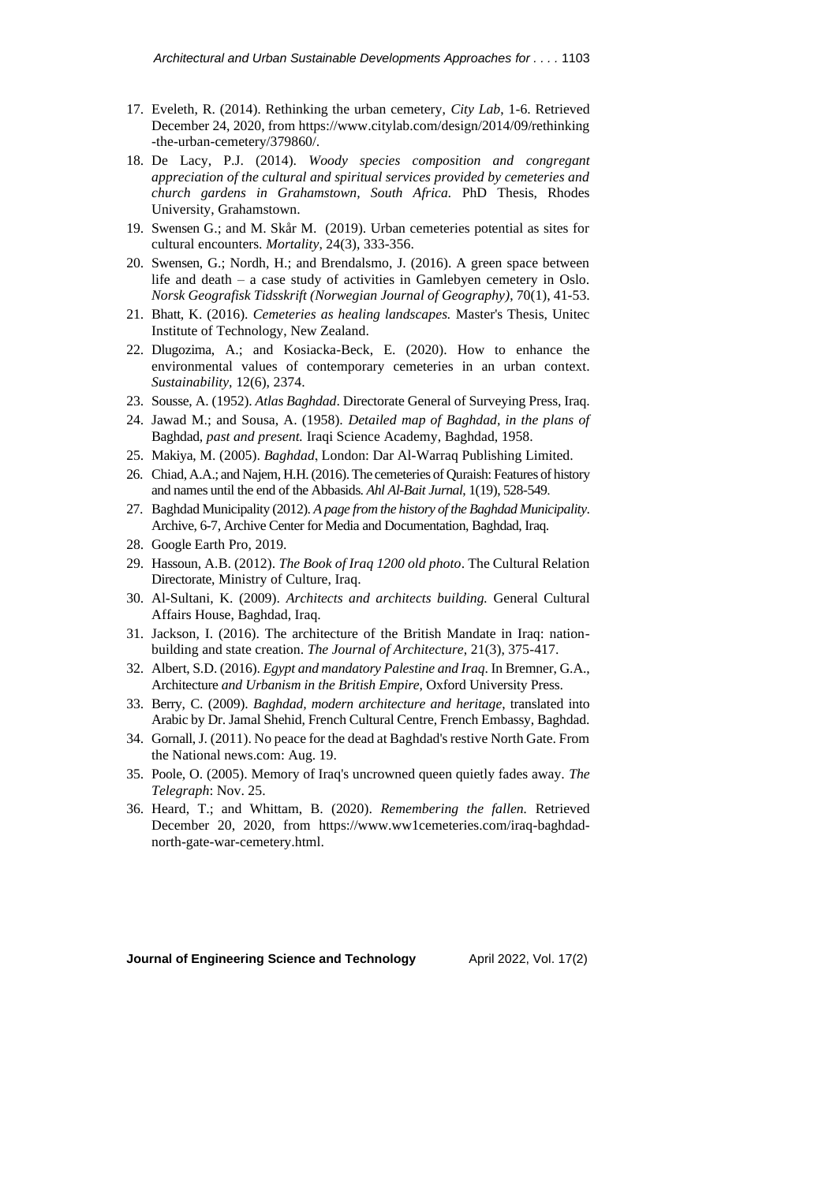- 17. Eveleth, R. (2014). Rethinking the urban cemetery, *City Lab*, 1-6. Retrieved December 24, 2020, fro[m https://www.citylab.com/design/2014/09/rethinking](https://www.citylab.com/design/2014/09/rethinking) -the-urban-cemetery/379860/.
- 18. De Lacy, P.J. (2014). *Woody species composition and congregant appreciation of the cultural and spiritual services provided by cemeteries and church gardens in Grahamstown, South Africa.* PhD Thesis, Rhodes University, Grahamstown.
- 19. Swensen G.; and M. Skår M. (2019). Urban cemeteries potential as sites for cultural encounters. *Mortality*, 24(3), 333-356.
- 20. Swensen, G.; Nordh, H.; and Brendalsmo, J. (2016). A green space between life and death – a case study of activities in Gamlebyen cemetery in Oslo. *Norsk Geografisk Tidsskrift (Norwegian Journal of Geography)*, 70(1), 41-53.
- 21. Bhatt, K. (2016). *Cemeteries as healing landscapes.* Master's Thesis, Unitec Institute of Technology, New Zealand.
- 22. Dlugozima, A.; and Kosiacka-Beck, E. (2020). How to enhance the environmental values of contemporary cemeteries in an urban context. *Sustainability,* 12(6), 2374.
- 23. Sousse, A. (1952). *Atlas Baghdad*. Directorate General of Surveying Press, Iraq.
- 24. Jawad M.; and Sousa, A. (1958). *Detailed map of Baghdad, in the plans of*  Baghdad*, past and present.* Iraqi Science Academy, Baghdad, 1958.
- 25. Makiya, M. (2005). *Baghdad* , London: Dar Al-Warraq Publishing Limited.
- 26. Chiad, A.A.; and Najem, H.H. (2016). The cemeteries of Quraish: Features of history and names until the end of the Abbasids. *Ahl Al-Bait Jurnal*, 1(19), 528-549 .
- 27. Baghdad Municipality (2012). *A page from the history of the Baghdad Municipality*. Archive, 6-7, Archive Center for Media and Documentation, Baghdad, Iraq.
- 28. Google Earth Pro, 2019.
- 29. Hassoun, A.B. (2012). *The Book of Iraq 1200 old photo*. The Cultural Relation Directorate, Ministry of Culture, Iraq.
- 30. Al-Sultani, K. (2009). *Architects and architects building.* General Cultural Affairs House, Baghdad, Iraq.
- 31. Jackson, I. (2016). The architecture of the British Mandate in Iraq: nationbuilding and state creation. *The Journal of Architecture*, 21(3), 375-417.
- 32. Albert, S.D. (2016). *Egypt and mandatory Palestine and Iraq*. In Bremner, G.A., Architecture *and Urbanism in the British Empire*, Oxford University Press.
- 33. Berry, C. (2009). *Baghdad, modern architecture and heritage*, translated into Arabic by Dr. Jamal Shehid, French Cultural Centre, French Embassy, Baghdad.
- 34. Gornall, J. (2011). No peace for the dead at Baghdad's restive North Gate. From the National news.com: Aug. 19.
- 35. Poole, O. (2005). Memory of Iraq's uncrowned queen quietly fades away. *The Telegraph*: Nov. 25.
- 36. Heard, T.; and Whittam, B. (2020). *Remembering the fallen.* Retrieved December 20, 2020, from [https://www.ww1cemeteries.com/iraq-baghdad](https://www.ww1cemeteries.com/iraq-baghdad-north-gate-war-cemetery.html)[north-gate-war-cemetery.html.](https://www.ww1cemeteries.com/iraq-baghdad-north-gate-war-cemetery.html)